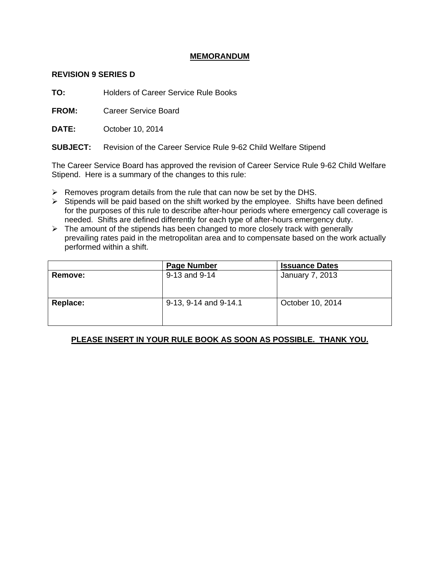## **MEMORANDUM**

## **REVISION 9 SERIES D**

**TO:** Holders of Career Service Rule Books

**FROM:** Career Service Board

**DATE:** October 10, 2014

**SUBJECT:** Revision of the Career Service Rule 9-62 Child Welfare Stipend

The Career Service Board has approved the revision of Career Service Rule 9-62 Child Welfare Stipend. Here is a summary of the changes to this rule:

- $\triangleright$  Removes program details from the rule that can now be set by the DHS.
- $\triangleright$  Stipends will be paid based on the shift worked by the employee. Shifts have been defined for the purposes of this rule to describe after-hour periods where emergency call coverage is needed. Shifts are defined differently for each type of after-hours emergency duty.
- $\triangleright$  The amount of the stipends has been changed to more closely track with generally prevailing rates paid in the metropolitan area and to compensate based on the work actually performed within a shift.

|                | <b>Page Number</b>    | <b>Issuance Dates</b>  |
|----------------|-----------------------|------------------------|
| <b>Remove:</b> | 9-13 and 9-14         | <b>January 7, 2013</b> |
| Replace:       | 9-13, 9-14 and 9-14.1 | October 10, 2014       |

## **PLEASE INSERT IN YOUR RULE BOOK AS SOON AS POSSIBLE. THANK YOU.**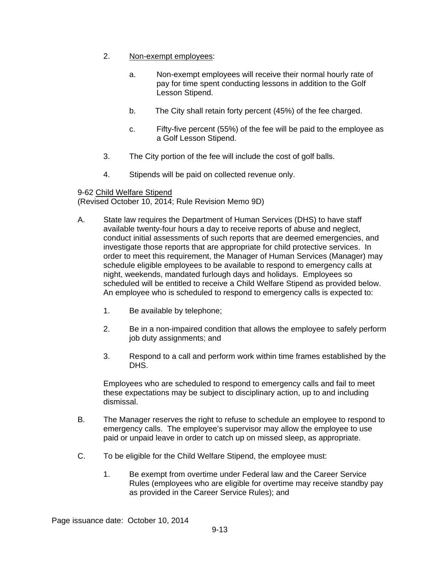- 2. Non-exempt employees:
	- a. Non-exempt employees will receive their normal hourly rate of pay for time spent conducting lessons in addition to the Golf Lesson Stipend.
	- b. The City shall retain forty percent (45%) of the fee charged.
	- c. Fifty-five percent (55%) of the fee will be paid to the employee as a Golf Lesson Stipend.
- 3. The City portion of the fee will include the cost of golf balls.
- 4. Stipends will be paid on collected revenue only.

9-62 Child Welfare Stipend (Revised October 10, 2014; Rule Revision Memo 9D)

- A. State law requires the Department of Human Services (DHS) to have staff available twenty-four hours a day to receive reports of abuse and neglect, conduct initial assessments of such reports that are deemed emergencies, and investigate those reports that are appropriate for child protective services. In order to meet this requirement, the Manager of Human Services (Manager) may schedule eligible employees to be available to respond to emergency calls at night, weekends, mandated furlough days and holidays. Employees so scheduled will be entitled to receive a Child Welfare Stipend as provided below. An employee who is scheduled to respond to emergency calls is expected to:
	- 1. Be available by telephone;
	- 2. Be in a non-impaired condition that allows the employee to safely perform job duty assignments; and
	- 3. Respond to a call and perform work within time frames established by the DHS.

Employees who are scheduled to respond to emergency calls and fail to meet these expectations may be subject to disciplinary action, up to and including dismissal.

- B. The Manager reserves the right to refuse to schedule an employee to respond to emergency calls. The employee's supervisor may allow the employee to use paid or unpaid leave in order to catch up on missed sleep, as appropriate.
- C. To be eligible for the Child Welfare Stipend, the employee must:
	- 1. Be exempt from overtime under Federal law and the Career Service Rules (employees who are eligible for overtime may receive standby pay as provided in the Career Service Rules); and

Page issuance date: October 10, 2014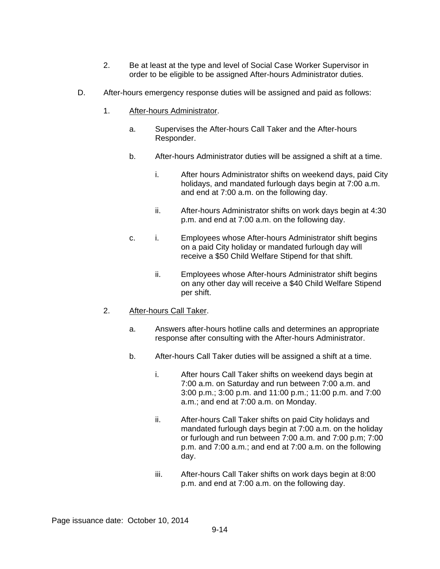- 2. Be at least at the type and level of Social Case Worker Supervisor in order to be eligible to be assigned After-hours Administrator duties.
- D. After-hours emergency response duties will be assigned and paid as follows:
	- 1. After-hours Administrator.
		- a. Supervises the After-hours Call Taker and the After-hours Responder.
		- b. After-hours Administrator duties will be assigned a shift at a time.
			- i. After hours Administrator shifts on weekend days, paid City holidays, and mandated furlough days begin at 7:00 a.m. and end at 7:00 a.m. on the following day.
			- ii. After-hours Administrator shifts on work days begin at 4:30 p.m. and end at 7:00 a.m. on the following day.
		- c. i. Employees whose After-hours Administrator shift begins on a paid City holiday or mandated furlough day will receive a \$50 Child Welfare Stipend for that shift.
			- ii. Employees whose After-hours Administrator shift begins on any other day will receive a \$40 Child Welfare Stipend per shift.
	- 2. After-hours Call Taker.
		- a. Answers after-hours hotline calls and determines an appropriate response after consulting with the After-hours Administrator.
		- b. After-hours Call Taker duties will be assigned a shift at a time.
			- i. After hours Call Taker shifts on weekend days begin at 7:00 a.m. on Saturday and run between 7:00 a.m. and 3:00 p.m.; 3:00 p.m. and 11:00 p.m.; 11:00 p.m. and 7:00 a.m.; and end at 7:00 a.m. on Monday.
			- ii. After-hours Call Taker shifts on paid City holidays and mandated furlough days begin at 7:00 a.m. on the holiday or furlough and run between 7:00 a.m. and 7:00 p.m; 7:00 p.m. and 7:00 a.m.; and end at 7:00 a.m. on the following day.
			- iii. After-hours Call Taker shifts on work days begin at 8:00 p.m. and end at 7:00 a.m. on the following day.

Page issuance date: October 10, 2014